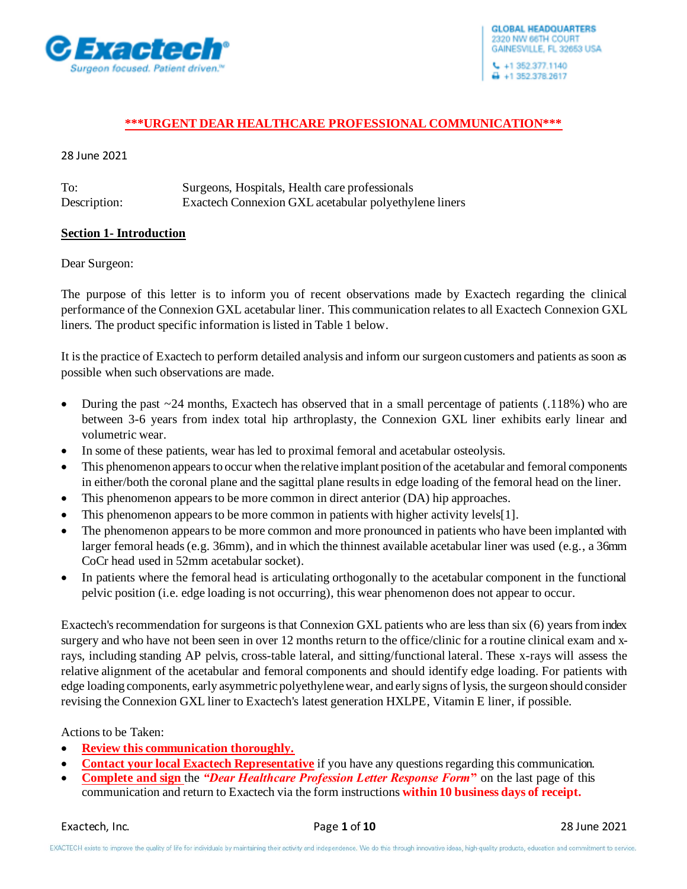

 $\bigoplus$  +1 352.378.2617

### **\*\*\*URGENT DEAR HEALTHCARE PROFESSIONAL COMMUNICATION\*\*\***

28 June 2021

| To:          | Surgeons, Hospitals, Health care professionals        |
|--------------|-------------------------------------------------------|
| Description: | Exactech Connexion GXL acetabular polyethylene liners |

#### **Section 1- Introduction**

Dear Surgeon:

The purpose of this letter is to inform you of recent observations made by Exactech regarding the clinical performance of the Connexion GXL acetabular liner. This communication relates to all Exactech Connexion GXL liners. The product specific information is listed in Table 1 below.

It is the practice of Exactech to perform detailed analysis and inform our surgeon customers and patients as soon as possible when such observations are made.

- During the past  $\sim$  24 months, Exactech has observed that in a small percentage of patients (.118%) who are between 3-6 years from index total hip arthroplasty, the Connexion GXL liner exhibits early linear and volumetric wear.
- In some of these patients, wear has led to proximal femoral and acetabular osteolysis.
- This phenomenon appears to occur when the relative implant position of the acetabular and femoral components in either/both the coronal plane and the sagittal plane results in edge loading of the femoral head on the liner.
- This phenomenon appears to be more common in direct anterior (DA) hip approaches.
- This phenomenon appears to be more common in patients with higher activity levels [1].
- The phenomenon appears to be more common and more pronounced in patients who have been implanted with larger femoral heads (e.g. 36mm), and in which the thinnest available acetabular liner was used (e.g., a 36mm CoCr head used in 52mm acetabular socket).
- In patients where the femoral head is articulating orthogonally to the acetabular component in the functional pelvic position (i.e. edge loading is not occurring), this wear phenomenon does not appear to occur.

Exactech's recommendation for surgeons is that Connexion GXL patients who are less than six (6) years from index surgery and who have not been seen in over 12 months return to the office/clinic for a routine clinical exam and xrays, including standing AP pelvis, cross-table lateral, and sitting/functional lateral. These x-rays will assess the relative alignment of the acetabular and femoral components and should identify edge loading. For patients with edge loading components, early asymmetric polyethylene wear, and early signs of lysis, the surgeon should consider revising the Connexion GXL liner to Exactech's latest generation HXLPE, Vitamin E liner, if possible.

#### Actions to be Taken:

- **Review this communication thoroughly.**
- **Contact your local Exactech Representative** if you have any questions regarding this communication.
- **Complete and sign** the *"Dear Healthcare Profession Letter Response Form***"** on the last page of this communication and return to Exactech via the form instructions **within 10 business days of receipt.**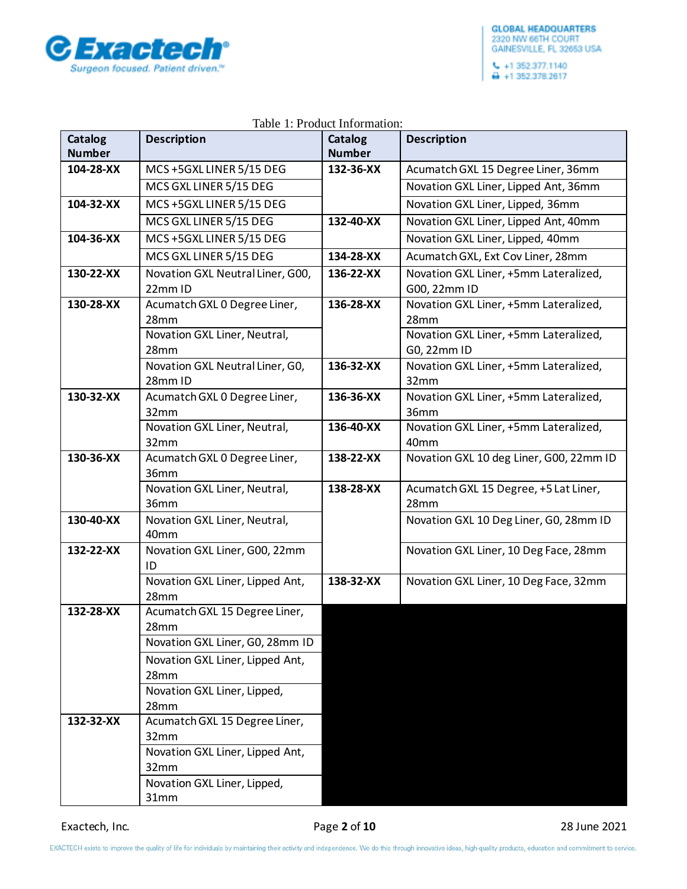

|                          |                                                     | raoic 1.11 cuaet miormation. |                                               |
|--------------------------|-----------------------------------------------------|------------------------------|-----------------------------------------------|
| Catalog<br><b>Number</b> | <b>Description</b>                                  | Catalog<br><b>Number</b>     | <b>Description</b>                            |
| 104-28-XX                | MCS+5GXLLINER 5/15 DEG                              | 132-36-XX                    | Acumatch GXL 15 Degree Liner, 36mm            |
|                          | MCS GXL LINER 5/15 DEG                              |                              | Novation GXL Liner, Lipped Ant, 36mm          |
| 104-32-XX                | MCS+5GXLLINER 5/15 DEG                              |                              | Novation GXL Liner, Lipped, 36mm              |
|                          | MCS GXL LINER 5/15 DEG                              | 132-40-XX                    | Novation GXL Liner, Lipped Ant, 40mm          |
| 104-36-XX                | MCS +5GXL LINER 5/15 DEG                            |                              | Novation GXL Liner, Lipped, 40mm              |
|                          | MCS GXL LINER 5/15 DEG                              | 134-28-XX                    | Acumatch GXL, Ext Cov Liner, 28mm             |
| 130-22-XX                | Novation GXL Neutral Liner, G00,                    | 136-22-XX                    | Novation GXL Liner, +5mm Lateralized,         |
|                          | 22mm ID                                             |                              | G00, 22mm ID                                  |
| 130-28-XX                | Acumatch GXL 0 Degree Liner,                        | 136-28-XX                    | Novation GXL Liner, +5mm Lateralized,         |
|                          | 28mm                                                |                              | 28mm                                          |
|                          | Novation GXL Liner, Neutral,                        |                              | Novation GXL Liner, +5mm Lateralized,         |
|                          | 28mm                                                |                              | G0, 22mm ID                                   |
|                          | Novation GXL Neutral Liner, G0,<br>28mm ID          | 136-32-XX                    | Novation GXL Liner, +5mm Lateralized,<br>32mm |
| 130-32-XX                | Acumatch GXL 0 Degree Liner,                        | 136-36-XX                    | Novation GXL Liner, +5mm Lateralized,         |
|                          | 32mm                                                |                              | 36mm                                          |
|                          | Novation GXL Liner, Neutral,                        | 136-40-XX                    | Novation GXL Liner, +5mm Lateralized,         |
|                          | 32mm                                                |                              | 40mm                                          |
| 130-36-XX                | Acumatch GXL 0 Degree Liner,<br>36mm                | 138-22-XX                    | Novation GXL 10 deg Liner, G00, 22mm ID       |
|                          | Novation GXL Liner, Neutral,                        | 138-28-XX                    | Acumatch GXL 15 Degree, +5 Lat Liner,         |
|                          | 36mm                                                |                              | 28mm                                          |
| 130-40-XX                | Novation GXL Liner, Neutral,<br>40mm                |                              | Novation GXL 10 Deg Liner, G0, 28mm ID        |
| 132-22-XX                | Novation GXL Liner, G00, 22mm                       |                              | Novation GXL Liner, 10 Deg Face, 28mm         |
|                          | ID                                                  |                              |                                               |
|                          | Novation GXL Liner, Lipped Ant,                     | 138-32-XX                    | Novation GXL Liner, 10 Deg Face, 32mm         |
|                          | 28mm                                                |                              |                                               |
| 132-28-XX                | Acumatch GXL 15 Degree Liner,                       |                              |                                               |
|                          | 28 <sub>mm</sub><br>Novation GXL Liner, G0, 28mm ID |                              |                                               |
|                          |                                                     |                              |                                               |
|                          | Novation GXL Liner, Lipped Ant,<br>28mm             |                              |                                               |
|                          | Novation GXL Liner, Lipped,                         |                              |                                               |
|                          | 28mm                                                |                              |                                               |
| 132-32-XX                | Acumatch GXL 15 Degree Liner,                       |                              |                                               |
|                          | 32mm                                                |                              |                                               |
|                          | Novation GXL Liner, Lipped Ant,                     |                              |                                               |
|                          | 32mm                                                |                              |                                               |
|                          | Novation GXL Liner, Lipped,                         |                              |                                               |
|                          | 31mm                                                |                              |                                               |

### Table 1: Product Information: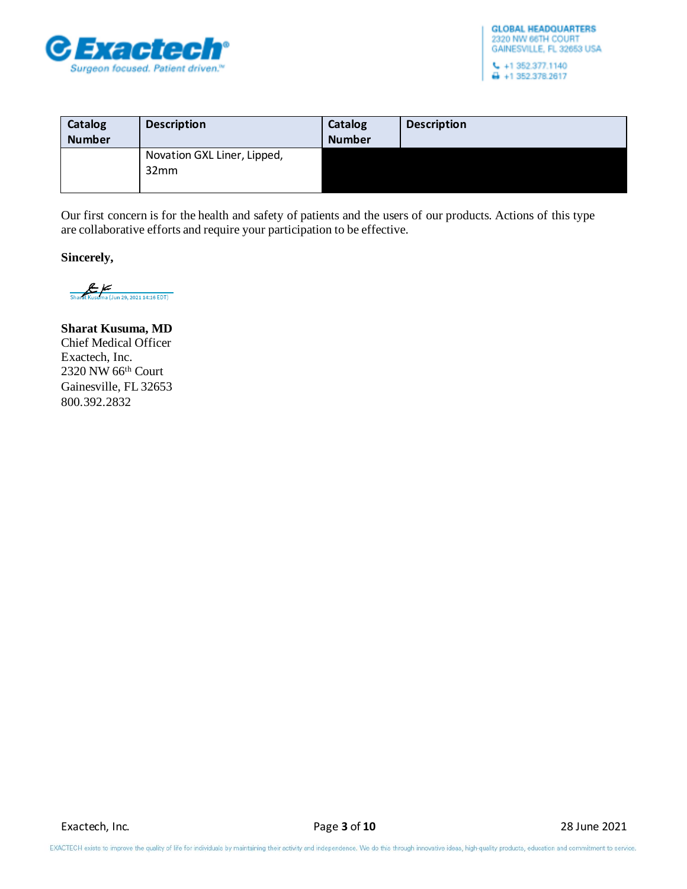

| Catalog<br><b>Number</b> | <b>Description</b>                  | Catalog<br><b>Number</b> | <b>Description</b> |
|--------------------------|-------------------------------------|--------------------------|--------------------|
|                          | Novation GXL Liner, Lipped,<br>32mm |                          |                    |

Our first concern is for the health and safety of patients and the users of our products. Actions of this type are collaborative efforts and require your participation to be effective.

**Sincerely,**

Sharat Kusuma (Jun 29, 2021 14:16 EDT)

**Sharat Kusuma, MD** Chief Medical Officer Exactech, Inc. 2320 NW 66th Court Gainesville, FL 32653 800.392.2832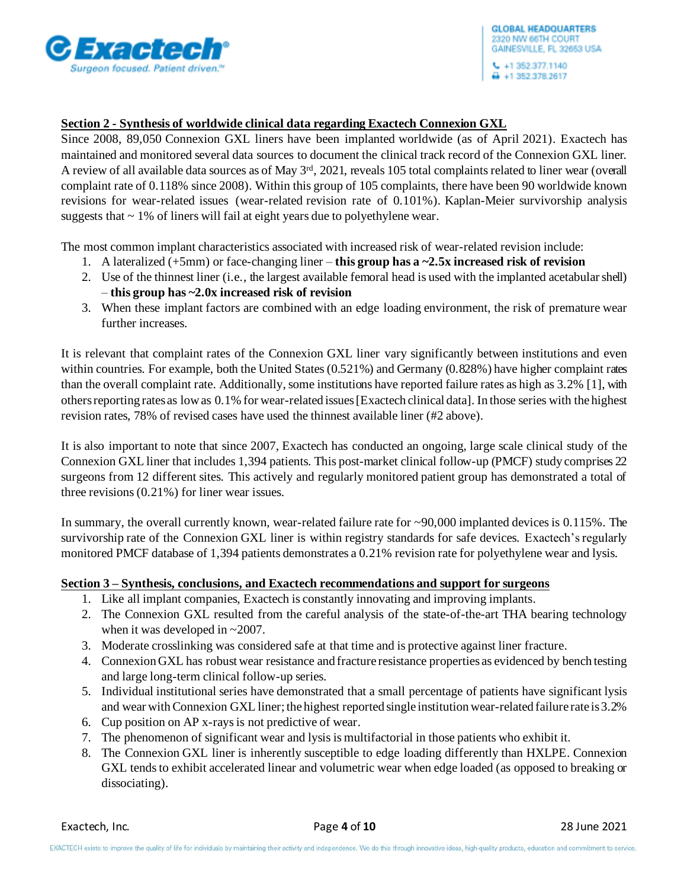

# **Section 2 - Synthesis of worldwide clinical data regarding Exactech Connexion GXL**

Since 2008, 89,050 Connexion GXL liners have been implanted worldwide (as of April 2021). Exactech has maintained and monitored several data sources to document the clinical track record of the Connexion GXL liner. A review of all available data sources as of May 3rd, 2021, reveals 105 total complaints related to liner wear (overall complaint rate of 0.118% since 2008). Within this group of 105 complaints, there have been 90 worldwide known revisions for wear-related issues (wear-related revision rate of 0.101%). Kaplan-Meier survivorship analysis suggests that  $\sim$  1% of liners will fail at eight years due to polyethylene wear.

The most common implant characteristics associated with increased risk of wear-related revision include:

- 1. A lateralized (+5mm) or face-changing liner **this group has a ~2.5x increased risk of revision**
- 2. Use of the thinnest liner (i.e., the largest available femoral head is used with the implanted acetabular shell) – **this group has ~2.0x increased risk of revision**
- 3. When these implant factors are combined with an edge loading environment, the risk of premature wear further increases.

It is relevant that complaint rates of the Connexion GXL liner vary significantly between institutions and even within countries. For example, both the United States (0.521%) and Germany (0.828%) have higher complaint rates than the overall complaint rate. Additionally, some institutions have reported failure rates as high as 3.2% [1], with othersreporting rates as low as 0.1% for wear-related issues[Exactech clinical data]. In those series with the highest revision rates, 78% of revised cases have used the thinnest available liner (#2 above).

It is also important to note that since 2007, Exactech has conducted an ongoing, large scale clinical study of the Connexion GXL liner that includes 1,394 patients. This post-market clinical follow-up (PMCF) study comprises 22 surgeons from 12 different sites. This actively and regularly monitored patient group has demonstrated a total of three revisions (0.21%) for liner wear issues.

In summary, the overall currently known, wear-related failure rate for ~90,000 implanted devices is 0.115%. The survivorship rate of the Connexion GXL liner is within registry standards for safe devices. Exactech's regularly monitored PMCF database of 1,394 patients demonstrates a 0.21% revision rate for polyethylene wear and lysis.

## **Section 3 – Synthesis, conclusions, and Exactech recommendations and support for surgeons**

- 1. Like all implant companies, Exactech is constantly innovating and improving implants.
- 2. The Connexion GXL resulted from the careful analysis of the state-of-the-art THA bearing technology when it was developed in ~2007.
- 3. Moderate crosslinking was considered safe at that time and is protective against liner fracture.
- 4. Connexion GXL has robust wear resistance and fracture resistance properties as evidenced by bench testing and large long-term clinical follow-up series.
- 5. Individual institutional series have demonstrated that a small percentage of patients have significant lysis and wear with Connexion GXL liner; the highest reported single institution wear-related failure rate is 3.2%
- 6. Cup position on AP x-rays is not predictive of wear.
- 7. The phenomenon of significant wear and lysis is multifactorial in those patients who exhibit it.
- 8. The Connexion GXL liner is inherently susceptible to edge loading differently than HXLPE. Connexion GXL tends to exhibit accelerated linear and volumetric wear when edge loaded (as opposed to breaking or dissociating).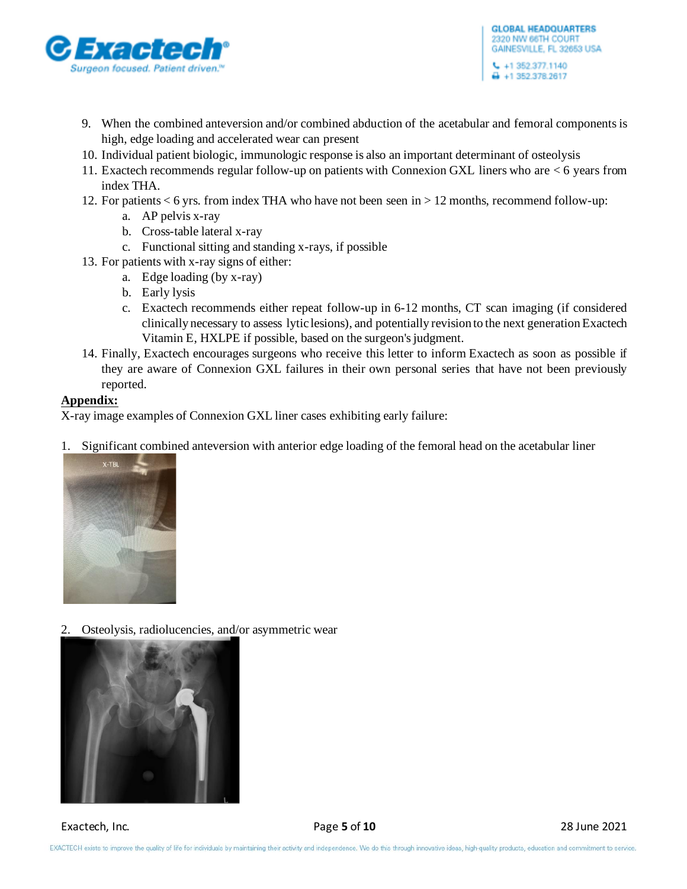

- 9. When the combined anteversion and/or combined abduction of the acetabular and femoral componentsis high, edge loading and accelerated wear can present
- 10. Individual patient biologic, immunologic response is also an important determinant of osteolysis
- 11. Exactech recommends regular follow-up on patients with Connexion GXL liners who are < 6 years from index THA.
- 12. For patients < 6 yrs. from index THA who have not been seen in > 12 months, recommend follow-up:
	- a. AP pelvis x-ray
	- b. Cross-table lateral x-ray
	- c. Functional sitting and standing x-rays, if possible
- 13. For patients with x-ray signs of either:
	- a. Edge loading (by x-ray)
	- b. Early lysis
	- c. Exactech recommends either repeat follow-up in 6-12 months, CT scan imaging (if considered clinically necessary to assess lytic lesions), and potentially revision to the next generation Exactech Vitamin E, HXLPE if possible, based on the surgeon's judgment.
- 14. Finally, Exactech encourages surgeons who receive this letter to inform Exactech as soon as possible if they are aware of Connexion GXL failures in their own personal series that have not been previously reported.

## **Appendix:**

X-ray image examples of Connexion GXL liner cases exhibiting early failure:

1. Significant combined anteversion with anterior edge loading of the femoral head on the acetabular liner



2. Osteolysis, radiolucencies, and/or asymmetric wear

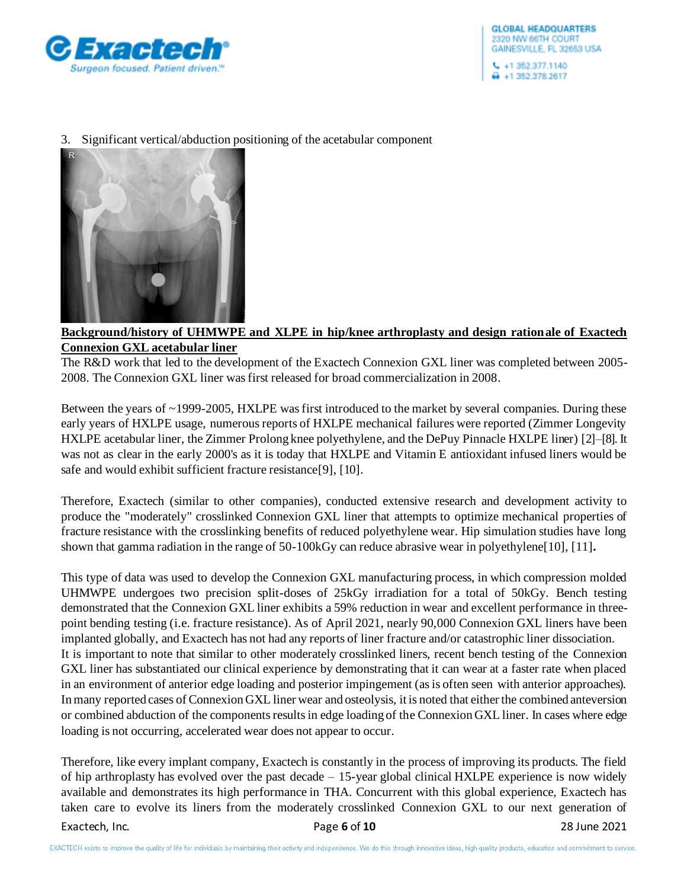

## 3. Significant vertical/abduction positioning of the acetabular component



## **Background/history of UHMWPE and XLPE in hip/knee arthroplasty and design rationale of Exactech Connexion GXL acetabular liner**

The R&D work that led to the development of the Exactech Connexion GXL liner was completed between 2005- 2008. The Connexion GXL liner was first released for broad commercialization in 2008.

Between the years of ~1999-2005, HXLPE was first introduced to the market by several companies. During these early years of HXLPE usage, numerous reports of HXLPE mechanical failures were reported (Zimmer Longevity HXLPE acetabular liner, the Zimmer Prolong knee polyethylene, and the DePuy Pinnacle HXLPE liner) [2]–[8]. It was not as clear in the early 2000's as it is today that HXLPE and Vitamin E antioxidant infused liners would be safe and would exhibit sufficient fracture resistance[9], [10].

Therefore, Exactech (similar to other companies), conducted extensive research and development activity to produce the "moderately" crosslinked Connexion GXL liner that attempts to optimize mechanical properties of fracture resistance with the crosslinking benefits of reduced polyethylene wear. Hip simulation studies have long shown that gamma radiation in the range of 50-100kGy can reduce abrasive wear in polyethylene[10], [11]**.** 

This type of data was used to develop the Connexion GXL manufacturing process, in which compression molded UHMWPE undergoes two precision split-doses of 25kGy irradiation for a total of 50kGy. Bench testing demonstrated that the Connexion GXL liner exhibits a 59% reduction in wear and excellent performance in threepoint bending testing (i.e. fracture resistance). As of April 2021, nearly 90,000 Connexion GXL liners have been implanted globally, and Exactech has not had any reports of liner fracture and/or catastrophic liner dissociation. It is important to note that similar to other moderately crosslinked liners, recent bench testing of the Connexion GXL liner has substantiated our clinical experience by demonstrating that it can wear at a faster rate when placed in an environment of anterior edge loading and posterior impingement (as is often seen with anterior approaches). Inmany reported cases of Connexion GXL liner wear and osteolysis, it is noted that either the combined anteversion or combined abduction of the components results in edge loading of the Connexion GXL liner. In cases where edge loading is not occurring, accelerated wear does not appear to occur.

Therefore, like every implant company, Exactech is constantly in the process of improving its products. The field of hip arthroplasty has evolved over the past decade – 15-year global clinical HXLPE experience is now widely available and demonstrates its high performance in THA. Concurrent with this global experience, Exactech has taken care to evolve its liners from the moderately crosslinked Connexion GXL to our next generation of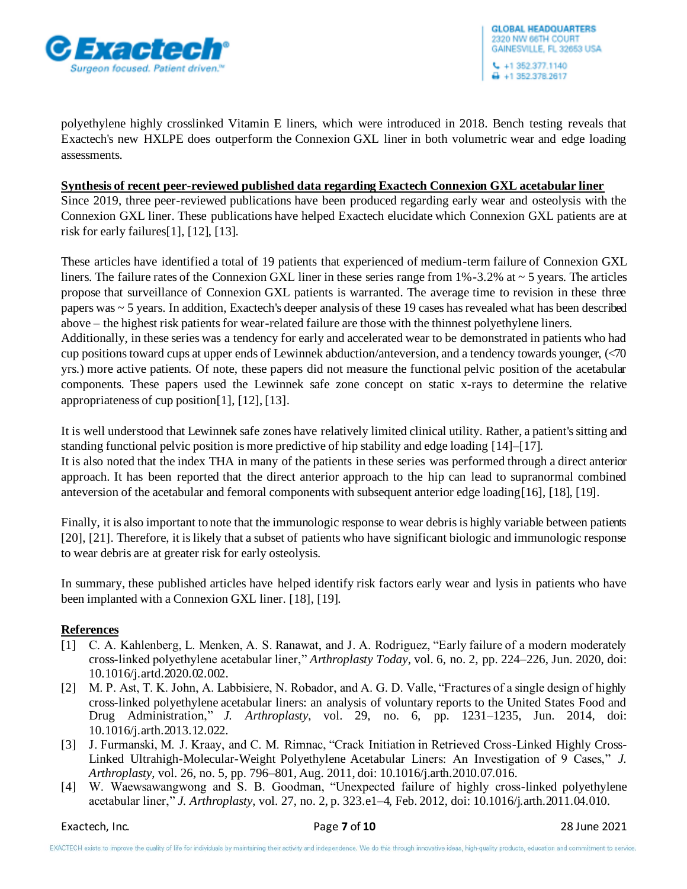

polyethylene highly crosslinked Vitamin E liners, which were introduced in 2018. Bench testing reveals that Exactech's new HXLPE does outperform the Connexion GXL liner in both volumetric wear and edge loading assessments.

## **Synthesis of recent peer-reviewed published data regarding Exactech Connexion GXL acetabular liner**

Since 2019, three peer-reviewed publications have been produced regarding early wear and osteolysis with the Connexion GXL liner. These publications have helped Exactech elucidate which Connexion GXL patients are at risk for early failures[1], [12], [13].

These articles have identified a total of 19 patients that experienced of medium-term failure of Connexion GXL liners. The failure rates of the Connexion GXL liner in these series range from 1%-3.2% at ~ 5 years. The articles propose that surveillance of Connexion GXL patients is warranted. The average time to revision in these three papers was ~ 5 years. In addition, Exactech's deeper analysis of these 19 cases has revealed what has been described above – the highest risk patients for wear-related failure are those with the thinnest polyethylene liners.

Additionally, in these series was a tendency for early and accelerated wear to be demonstrated in patients who had cup positions toward cups at upper ends of Lewinnek abduction/anteversion, and a tendency towards younger, (<70 yrs.) more active patients. Of note, these papers did not measure the functional pelvic position of the acetabular components. These papers used the Lewinnek safe zone concept on static x-rays to determine the relative appropriateness of cup position[1], [12], [13].

It is well understood that Lewinnek safe zones have relatively limited clinical utility. Rather, a patient's sitting and standing functional pelvic position is more predictive of hip stability and edge loading [14]–[17].

It is also noted that the index THA in many of the patients in these series was performed through a direct anterior approach. It has been reported that the direct anterior approach to the hip can lead to supranormal combined anteversion of the acetabular and femoral components with subsequent anterior edge loading[16], [18], [19].

Finally, it is also important to note that the immunologic response to wear debris is highly variable between patients [20], [21]. Therefore, it is likely that a subset of patients who have significant biologic and immunologic response to wear debris are at greater risk for early osteolysis.

In summary, these published articles have helped identify risk factors early wear and lysis in patients who have been implanted with a Connexion GXL liner. [18], [19].

## **References**

- [1] C. A. Kahlenberg, L. Menken, A. S. Ranawat, and J. A. Rodriguez, "Early failure of a modern moderately cross-linked polyethylene acetabular liner," *Arthroplasty Today*, vol. 6, no. 2, pp. 224–226, Jun. 2020, doi: 10.1016/j.artd.2020.02.002.
- [2] M. P. Ast, T. K. John, A. Labbisiere, N. Robador, and A. G. D. Valle, "Fractures of a single design of highly cross-linked polyethylene acetabular liners: an analysis of voluntary reports to the United States Food and Drug Administration," *J. Arthroplasty*, vol. 29, no. 6, pp. 1231–1235, Jun. 2014, doi: 10.1016/j.arth.2013.12.022.
- [3] J. Furmanski, M. J. Kraay, and C. M. Rimnac, "Crack Initiation in Retrieved Cross-Linked Highly Cross-Linked Ultrahigh-Molecular-Weight Polyethylene Acetabular Liners: An Investigation of 9 Cases," *J. Arthroplasty*, vol. 26, no. 5, pp. 796–801, Aug. 2011, doi: 10.1016/j.arth.2010.07.016.
- [4] W. Waewsawangwong and S. B. Goodman, "Unexpected failure of highly cross-linked polyethylene acetabular liner," *J. Arthroplasty*, vol. 27, no. 2, p. 323.e1–4, Feb. 2012, doi: 10.1016/j.arth.2011.04.010.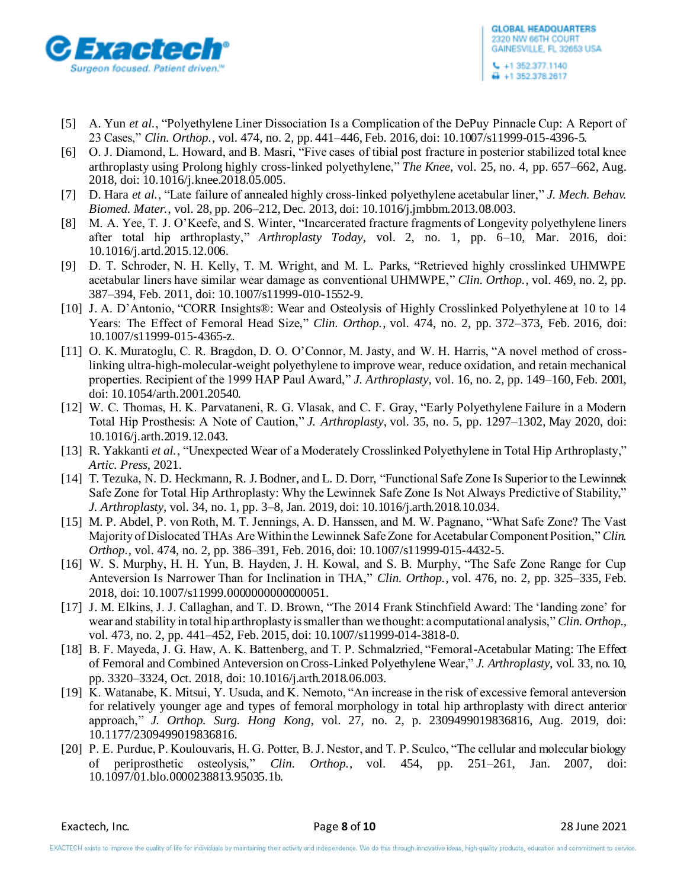

- [5] A. Yun *et al.*, "Polyethylene Liner Dissociation Is a Complication of the DePuy Pinnacle Cup: A Report of 23 Cases," *Clin. Orthop.*, vol. 474, no. 2, pp. 441–446, Feb. 2016, doi: 10.1007/s11999-015-4396-5.
- [6] O. J. Diamond, L. Howard, and B. Masri, "Five cases of tibial post fracture in posterior stabilized total knee arthroplasty using Prolong highly cross-linked polyethylene," *The Knee*, vol. 25, no. 4, pp. 657–662, Aug. 2018, doi: 10.1016/j.knee.2018.05.005.
- [7] D. Hara *et al.*, "Late failure of annealed highly cross-linked polyethylene acetabular liner," *J. Mech. Behav. Biomed. Mater.*, vol. 28, pp. 206–212, Dec. 2013, doi: 10.1016/j.jmbbm.2013.08.003.
- [8] M. A. Yee, T. J. O'Keefe, and S. Winter, "Incarcerated fracture fragments of Longevity polyethylene liners after total hip arthroplasty," *Arthroplasty Today*, vol. 2, no. 1, pp. 6–10, Mar. 2016, doi: 10.1016/j.artd.2015.12.006.
- [9] D. T. Schroder, N. H. Kelly, T. M. Wright, and M. L. Parks, "Retrieved highly crosslinked UHMWPE acetabular liners have similar wear damage as conventional UHMWPE," *Clin. Orthop.*, vol. 469, no. 2, pp. 387–394, Feb. 2011, doi: 10.1007/s11999-010-1552-9.
- [10] J. A. D'Antonio, "CORR Insights®: Wear and Osteolysis of Highly Crosslinked Polyethylene at 10 to 14 Years: The Effect of Femoral Head Size," *Clin. Orthop.*, vol. 474, no. 2, pp. 372–373, Feb. 2016, doi: 10.1007/s11999-015-4365-z.
- [11] O. K. Muratoglu, C. R. Bragdon, D. O. O'Connor, M. Jasty, and W. H. Harris, "A novel method of crosslinking ultra-high-molecular-weight polyethylene to improve wear, reduce oxidation, and retain mechanical properties. Recipient of the 1999 HAP Paul Award," *J. Arthroplasty*, vol. 16, no. 2, pp. 149–160, Feb. 2001, doi: 10.1054/arth.2001.20540.
- [12] W. C. Thomas, H. K. Parvataneni, R. G. Vlasak, and C. F. Gray, "Early Polyethylene Failure in a Modern Total Hip Prosthesis: A Note of Caution," *J. Arthroplasty*, vol. 35, no. 5, pp. 1297–1302, May 2020, doi: 10.1016/j.arth.2019.12.043.
- [13] R. Yakkanti *et al.*, "Unexpected Wear of a Moderately Crosslinked Polyethylene in Total Hip Arthroplasty," *Artic. Press*, 2021.
- [14] T. Tezuka, N. D. Heckmann, R. J. Bodner, and L. D. Dorr, "Functional Safe Zone Is Superior to the Lewinnek Safe Zone for Total Hip Arthroplasty: Why the Lewinnek Safe Zone Is Not Always Predictive of Stability," *J. Arthroplasty*, vol. 34, no. 1, pp. 3–8, Jan. 2019, doi: 10.1016/j.arth.2018.10.034.
- [15] M. P. Abdel, P. von Roth, M. T. Jennings, A. D. Hanssen, and M. W. Pagnano, "What Safe Zone? The Vast Majority of Dislocated THAs Are Within the Lewinnek Safe Zone for Acetabular Component Position," *Clin. Orthop.*, vol. 474, no. 2, pp. 386–391, Feb. 2016, doi: 10.1007/s11999-015-4432-5.
- [16] W. S. Murphy, H. H. Yun, B. Hayden, J. H. Kowal, and S. B. Murphy, "The Safe Zone Range for Cup Anteversion Is Narrower Than for Inclination in THA," *Clin. Orthop.*, vol. 476, no. 2, pp. 325–335, Feb. 2018, doi: 10.1007/s11999.0000000000000051.
- [17] J. M. Elkins, J. J. Callaghan, and T. D. Brown, "The 2014 Frank Stinchfield Award: The 'landing zone' for wear and stability in total hip arthroplasty is smaller than we thought: a computational analysis," *Clin. Orthop.*, vol. 473, no. 2, pp. 441–452, Feb. 2015, doi: 10.1007/s11999-014-3818-0.
- [18] B. F. Mayeda, J. G. Haw, A. K. Battenberg, and T. P. Schmalzried, "Femoral-Acetabular Mating: The Effect of Femoral and Combined Anteversion on Cross-Linked Polyethylene Wear," *J. Arthroplasty*, vol. 33, no. 10, pp. 3320–3324, Oct. 2018, doi: 10.1016/j.arth.2018.06.003.
- [19] K. Watanabe, K. Mitsui, Y. Usuda, and K. Nemoto, "An increase in the risk of excessive femoral anteversion for relatively younger age and types of femoral morphology in total hip arthroplasty with direct anterior approach," *J. Orthop. Surg. Hong Kong*, vol. 27, no. 2, p. 2309499019836816, Aug. 2019, doi: 10.1177/2309499019836816.
- [20] P. E. Purdue, P. Koulouvaris, H. G. Potter, B. J. Nestor, and T. P. Sculco, "The cellular and molecular biology of periprosthetic osteolysis," *Clin. Orthop.*, vol. 454, pp. 251–261, Jan. 2007, doi: 10.1097/01.blo.0000238813.95035.1b.